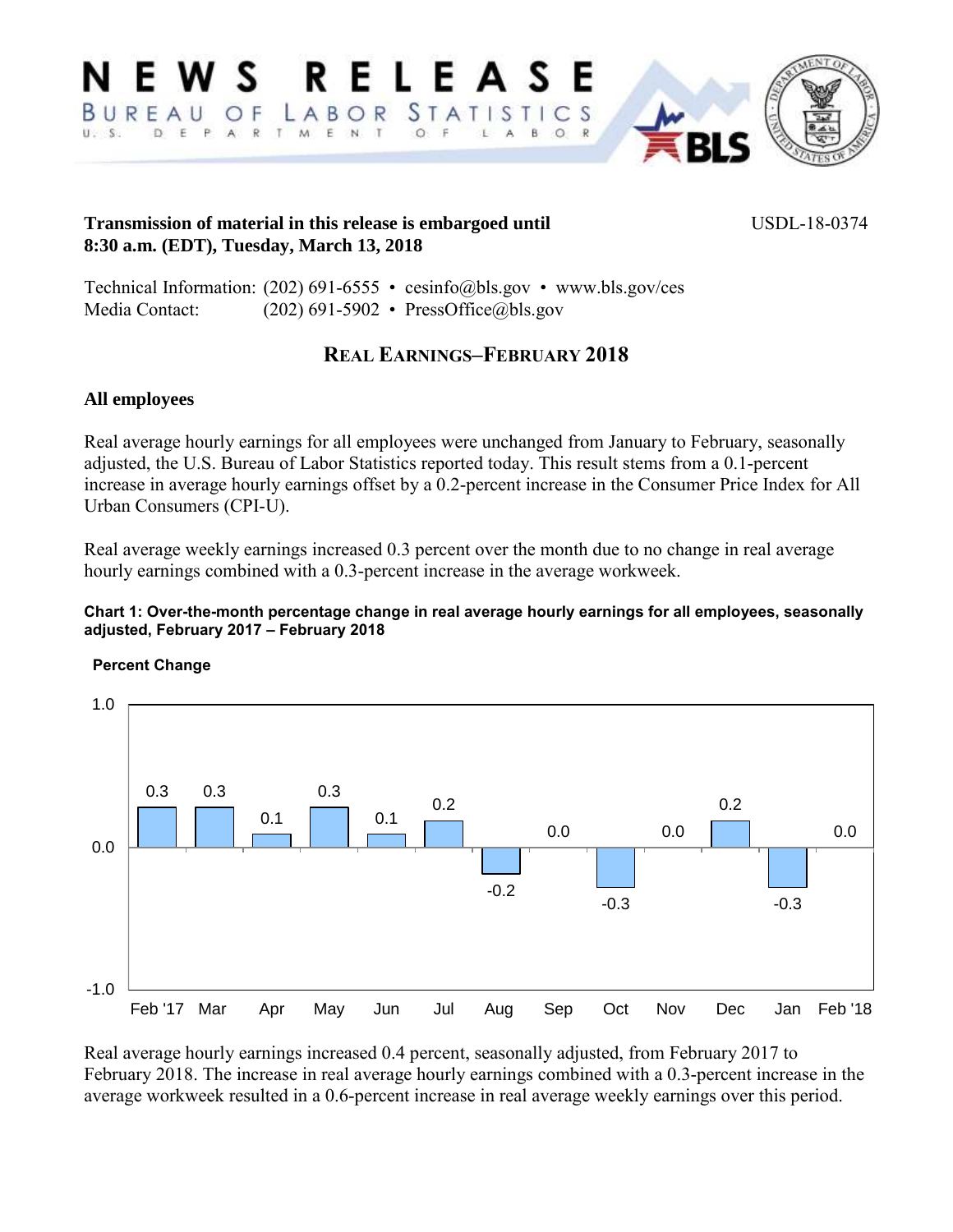**RELEASE** VS.  $STATI$  $C<sub>S</sub>$ BURFAU OF LABOR S T I U.S. D E P A R T M E N T  $O$  F L.  $\circ$ 

## **Transmission of material in this release is embargoed until**  $USDL-18-0374$ **8:30 a.m. (EDT), Tuesday, March 13, 2018**

Technical Information: (202) 691-6555 • cesinfo@bls.gov • www.bls.gov/ces Media Contact: (202) 691-5902 • PressOffice@bls.gov

# **REAL EARNINGS–FEBRUARY 2018**

# **All employees**

Real average hourly earnings for all employees were unchanged from January to February, seasonally adjusted, the U.S. Bureau of Labor Statistics reported today. This result stems from a 0.1-percent increase in average hourly earnings offset by a 0.2-percent increase in the Consumer Price Index for All Urban Consumers (CPI-U).

Real average weekly earnings increased 0.3 percent over the month due to no change in real average hourly earnings combined with a 0.3-percent increase in the average workweek.

#### **Chart 1: Over-the-month percentage change in real average hourly earnings for all employees, seasonally adjusted, February 2017 – February 2018**



Real average hourly earnings increased 0.4 percent, seasonally adjusted, from February 2017 to February 2018. The increase in real average hourly earnings combined with a 0.3-percent increase in the average workweek resulted in a 0.6-percent increase in real average weekly earnings over this period.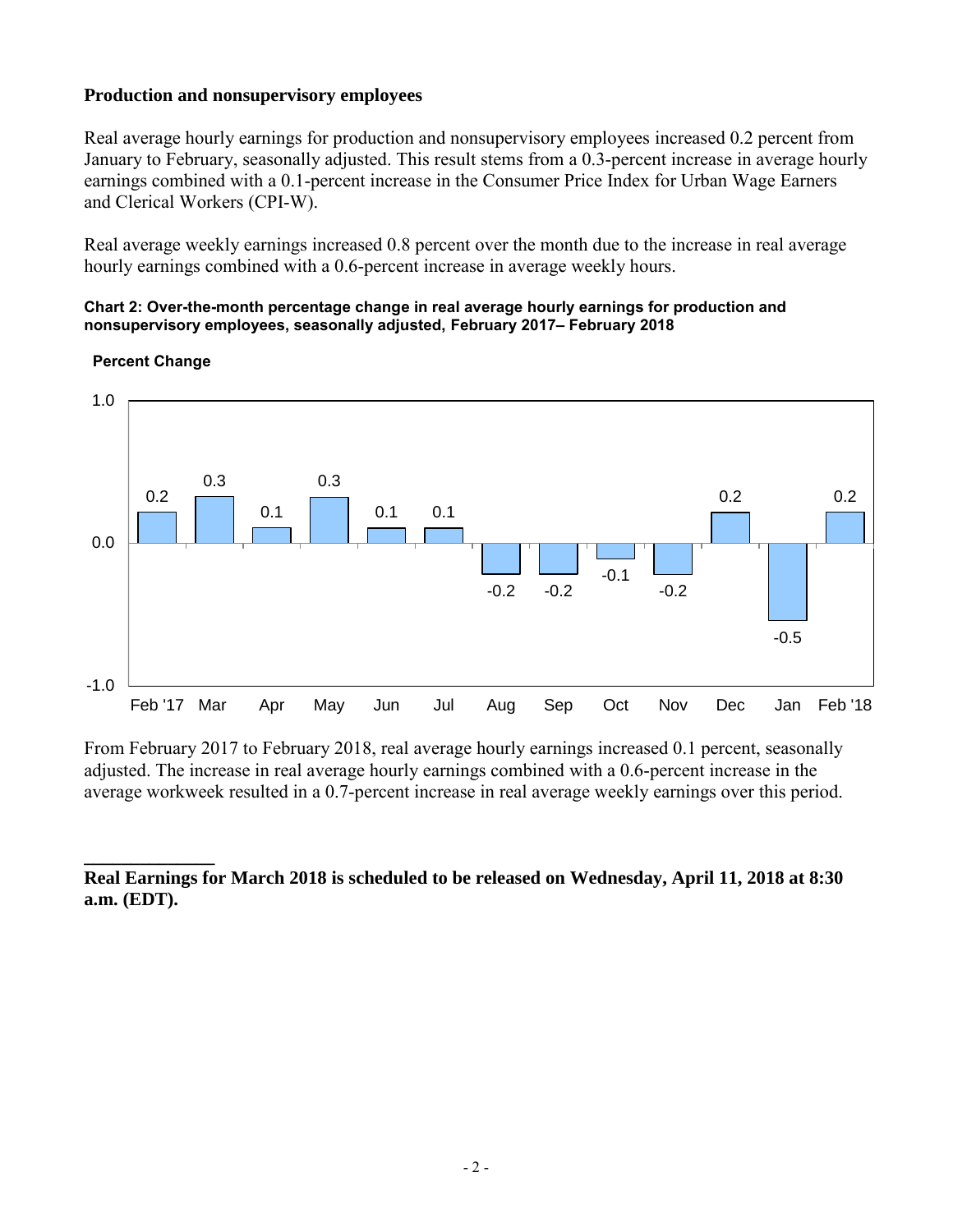## **Production and nonsupervisory employees**

Real average hourly earnings for production and nonsupervisory employees increased 0.2 percent from January to February, seasonally adjusted. This result stems from a 0.3-percent increase in average hourly earnings combined with a 0.1-percent increase in the Consumer Price Index for Urban Wage Earners and Clerical Workers (CPI-W).

Real average weekly earnings increased 0.8 percent over the month due to the increase in real average hourly earnings combined with a 0.6-percent increase in average weekly hours.

#### **Chart 2: Over-the-month percentage change in real average hourly earnings for production and nonsupervisory employees, seasonally adjusted, February 2017– February 2018**



#### **Percent Change**

**\_\_\_\_\_\_\_\_\_\_\_\_\_\_** 

From February 2017 to February 2018, real average hourly earnings increased 0.1 percent, seasonally adjusted. The increase in real average hourly earnings combined with a 0.6-percent increase in the average workweek resulted in a 0.7-percent increase in real average weekly earnings over this period.

**Real Earnings for March 2018 is scheduled to be released on Wednesday, April 11, 2018 at 8:30 a.m. (EDT).**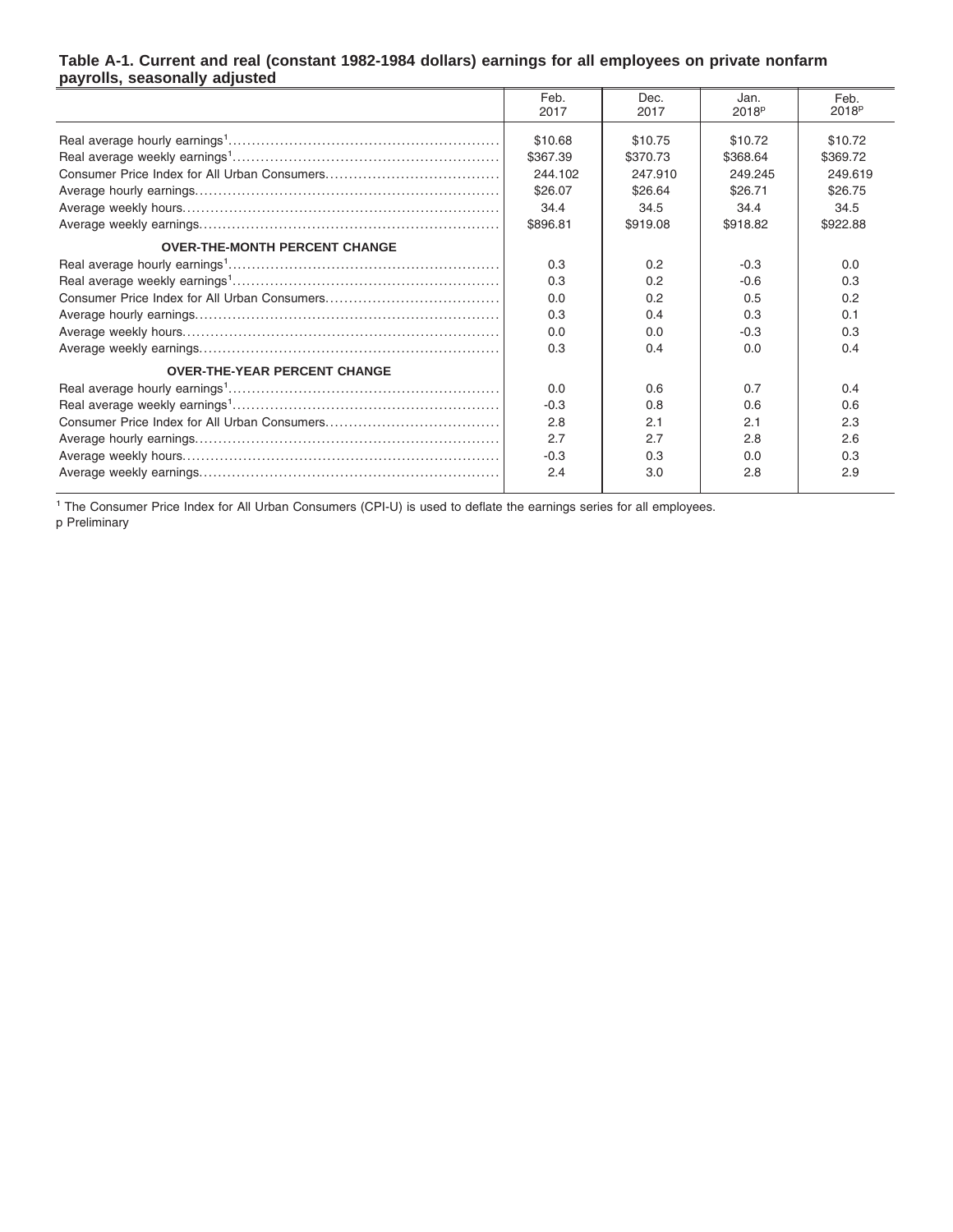#### **Table A-1. Current and real (constant 1982-1984 dollars) earnings for all employees on private nonfarm payrolls, seasonally adjusted**

|                                      | Feb.     | Dec.     | Jan.              | Feb.              |
|--------------------------------------|----------|----------|-------------------|-------------------|
|                                      | 2017     | 2017     | 2018 <sup>p</sup> | 2018 <sup>p</sup> |
|                                      | \$10.68  | \$10.75  | \$10.72           | \$10.72           |
|                                      | \$367.39 | \$370.73 | \$368.64          | \$369.72          |
|                                      | 244.102  | 247.910  | 249.245           | 249.619           |
|                                      | \$26.07  | \$26.64  | \$26.71           | \$26.75           |
|                                      | 34.4     | 34.5     | 34.4              | 34.5              |
|                                      | \$896.81 | \$919.08 | \$918.82          | \$922.88          |
| <b>OVER-THE-MONTH PERCENT CHANGE</b> |          |          |                   |                   |
|                                      | 0.3      | 0.2      | $-0.3$            | 0.0               |
|                                      | 0.3      | 0.2      | $-0.6$            | 0.3               |
|                                      | 0.0      | 0.2      | 0.5               | 0.2               |
|                                      | 0.3      | 0.4      | 0.3               | 0.1               |
|                                      | 0.0      | 0.0      | $-0.3$            | 0.3               |
|                                      | 0.3      | 0.4      | 0.0               | 0.4               |
| <b>OVER-THE-YEAR PERCENT CHANGE</b>  |          |          |                   |                   |
|                                      | 0.0      | 0.6      | 0.7               | 0.4               |
|                                      | $-0.3$   | 0.8      | 0.6               | 0.6               |
|                                      | 2.8      | 2.1      | 2.1               | 2.3               |
|                                      | 2.7      | 2.7      | 2.8               | 2.6               |
|                                      | $-0.3$   | 0.3      | 0.0               | 0.3               |
|                                      | 2.4      | 3.0      | 2.8               | 2.9               |

<sup>1</sup> The Consumer Price Index for All Urban Consumers (CPI-U) is used to deflate the earnings series for all employees. p Preliminary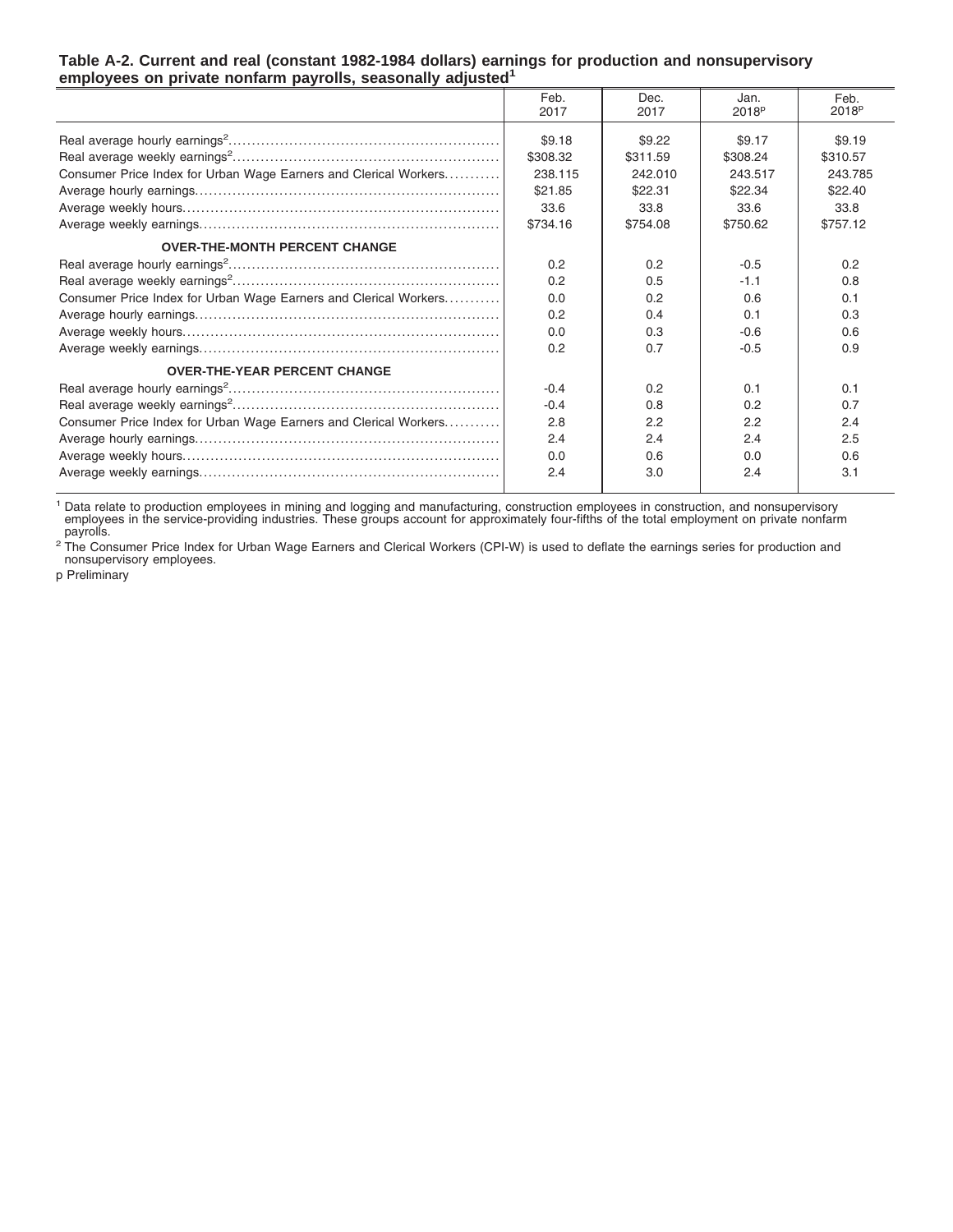| completed on private nominating payrons, seasonally aujusted     |              |              |                           |                           |  |  |
|------------------------------------------------------------------|--------------|--------------|---------------------------|---------------------------|--|--|
|                                                                  | Feb.<br>2017 | Dec.<br>2017 | Jan.<br>2018 <sup>p</sup> | Feb.<br>2018 <sup>p</sup> |  |  |
|                                                                  | \$9.18       | \$9.22       | \$9.17                    | \$9.19                    |  |  |
|                                                                  | \$308.32     | \$311.59     | \$308.24                  | \$310.57                  |  |  |
| Consumer Price Index for Urban Wage Earners and Clerical Workers | 238.115      | 242.010      | 243.517                   | 243.785                   |  |  |
|                                                                  | \$21.85      | \$22.31      | \$22.34                   | \$22.40                   |  |  |
|                                                                  | 33.6         | 33.8         | 33.6                      | 33.8                      |  |  |
|                                                                  | \$734.16     | \$754.08     | \$750.62                  | \$757.12                  |  |  |
| <b>OVER-THE-MONTH PERCENT CHANGE</b>                             |              |              |                           |                           |  |  |
|                                                                  | 0.2          | 0.2          | $-0.5$                    | 0.2                       |  |  |
|                                                                  | 0.2          | 0.5          | $-1.1$                    | 0.8                       |  |  |
| Consumer Price Index for Urban Wage Earners and Clerical Workers | 0.0          | 0.2          | 0.6                       | 0.1                       |  |  |
|                                                                  | 0.2          | 0.4          | 0.1                       | 0.3                       |  |  |
|                                                                  | 0.0          | 0.3          | $-0.6$                    | 0.6                       |  |  |
|                                                                  | 0.2          | 0.7          | $-0.5$                    | 0.9                       |  |  |
| <b>OVER-THE-YEAR PERCENT CHANGE</b>                              |              |              |                           |                           |  |  |
|                                                                  | $-0.4$       | 0.2          | 0.1                       | 0.1                       |  |  |
|                                                                  | $-0.4$       | 0.8          | 0.2                       | 0.7                       |  |  |
| Consumer Price Index for Urban Wage Earners and Clerical Workers | 2.8          | 2.2          | 2.2                       | 2.4                       |  |  |
|                                                                  | 2.4          | 2.4          | 2.4                       | 2.5                       |  |  |
|                                                                  | 0.0          | 0.6          | 0.0                       | 0.6                       |  |  |
|                                                                  | 2.4          | 3.0          | 2.4                       | 3.1                       |  |  |

#### **Table A-2. Current and real (constant 1982-1984 dollars) earnings for production and nonsupervisory employees on private nonfarm payrolls, seasonally adjusted<sup>1</sup>**

<sup>1</sup> Data relate to production employees in mining and logging and manufacturing, construction employees in construction, and nonsupervisory<br>employees in the service-providing industries. These groups account for approximat

<sup>2</sup> The Consumer Price Index for Urban Wage Earners and Clerical Workers (CPI-W) is used to deflate the earnings series for production and<br>nonsupervisory employees.

p Preliminary